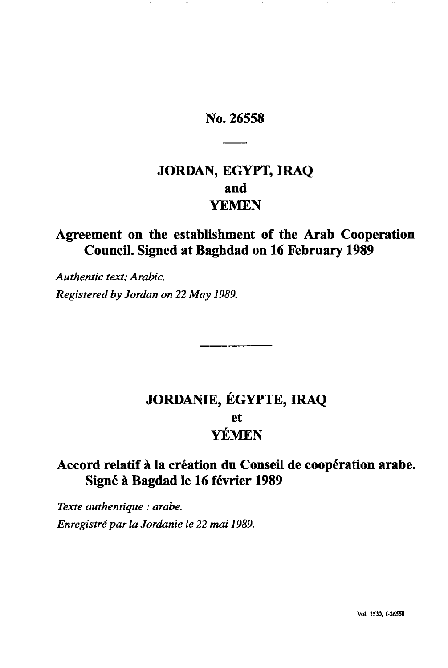# No. 26558

# **JORDAN, EGYPT, IRAQ and** YEMEN

# Agreement on the establishment of the Arab Cooperation Council. Signed at Baghdad on 16 February 1989

*Authentic text: Arabic. Registered by Jordan on 22 May 1989.*

# **JORDANIE, EGYPTE, IRAQ** et YEMEN

# Accord relatif à la création du Conseil de coopération arabe. Signé à Bagdad le 16 février 1989

*Texte authentique : arabe. Enregistré par la Jordanie le 22 mai 1989.*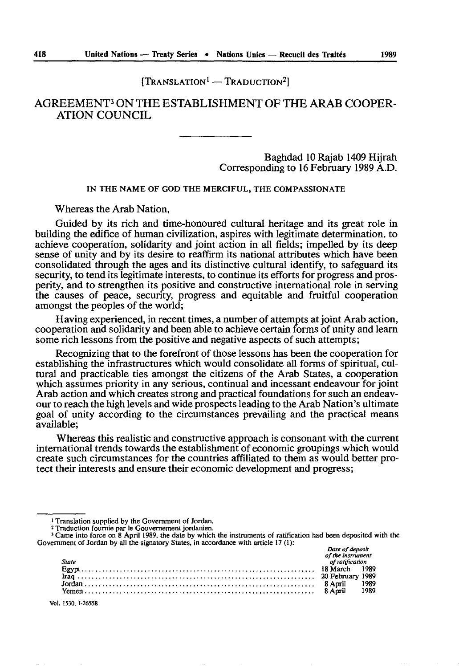$[TRANSLATION<sup>1</sup> - TRADUCTION<sup>2</sup>]$ 

# AGREEMENT3 ON THE ESTABLISHMENT OF THE ARAB COOPER ATION COUNCIL

Baghdad 10 Rajab 1409 Hijrah Corresponding to 16 February 1989 A.D.

IN THE NAME OF GOD THE MERCIFUL, THE COMPASSIONATE

Whereas the Arab Nation,

Guided by its rich and time-honoured cultural heritage and its great role in building the edifice of human civilization, aspires with legitimate determination, to achieve cooperation, solidarity and joint action in all fields; impelled by its deep sense of unity and by its desire to reaffirm its national attributes which have been consolidated through the ages and its distinctive cultural identify, to safeguard its security, to tend its legitimate interests, to continue its efforts for progress and pros perity, and to strengthen its positive and constructive international role in serving the causes of peace, security, progress and equitable and fruitful cooperation amongst the peoples of the world;

Having experienced, in recent times, a number of attempts at joint Arab action, cooperation and solidarity and been able to achieve certain forms of unity and learn some rich lessons from the positive and negative aspects of such attempts;

Recognizing that to the forefront of those lessons has been the cooperation for establishing the infrastructures which would consolidate all forms of spiritual, cul tural and practicable ties amongst the citizens of the Arab States, a cooperation which assumes priority in any serious, continual and incessant endeavour for joint Arab action and which creates strong and practical foundations for such an endeav our to reach the high levels and wide prospects leading to the Arab Nation's ultimate goal of unity according to the circumstances prevailing and the practical means available;

Whereas this realistic and constructive approach is consonant with the current international trends towards the establishment of economic groupings which would create such circumstances for the countries affiliated to them as would better pro tect their interests and ensure their economic development and progress;

<sup>2</sup> Traduction fournie par le Gouvernement jordanien. 3 Came into force on 8 April 1989, the date by which the instruments of ratification had been deposited with the Government of Jordan by all the signatory States, in accordance with article 17 (1): *Date of deposit* 

|       | <b>DUIL VI UCDOSI</b> |      |
|-------|-----------------------|------|
|       | of the instrument     |      |
| State | of ratification       |      |
|       |                       |      |
|       |                       |      |
|       |                       | 1989 |
|       |                       | 1989 |

Vol. 1530, 1-26558

<sup>1</sup> Translation supplied by the Government of Jordan.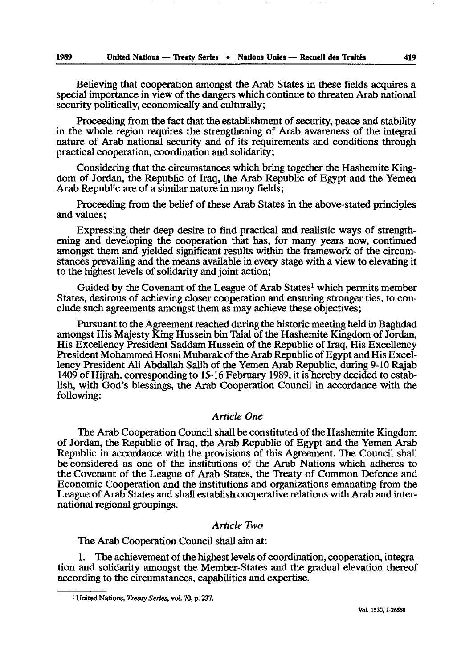Believing that cooperation amongst the Arab States in these fields acquires a special importance in view of the dangers which continue to threaten Arab national security politically, economically and culturally;

Proceeding from the fact that the establishment of security, peace and stability in the whole region requires the strengthening of Arab awareness of the integral nature of Arab national security and of its requirements and conditions through practical cooperation, coordination and solidarity;

Considering that the circumstances which bring together the Hashemite King dom of Jordan, the Republic of Iraq, the Arab Republic of Egypt and the Yemen Arab Republic are of a similar nature in many fields;

Proceeding from the belief of these Arab States in the above-stated principles and values;

Expressing their deep desire to find practical and realistic ways of strength ening and developing the cooperation that has, for many years now, continued amongst them and yielded significant results within the framework of the circum stances prevailing and the means available in every stage with a view to elevating it to the highest levels of solidarity and joint action;

Guided by the Covenant of the League of Arab States<sup>1</sup> which permits member States, desirous of achieving closer cooperation and ensuring stronger ties, to con clude such agreements amongst them as may achieve these objectives;

Pursuant to the Agreement reached during the historic meeting held in Baghdad amongst His Majesty King Hussein bin Talal of the Hashemite Kingdom of Jordan, His Excellency President Saddam Hussein of the Republic of Iraq, His Excellency President Mohammed Hosni Mubarak of the Arab Republic of Egypt and His Excel lency President Ali Abdallah Salih of the Yemen Arab Republic, during 9-10 Rajab 1409 of Hijrah, corresponding to 15-16 February 1989, it is hereby decided to estab lish, with God's blessings, the Arab Cooperation Council in accordance with the following:

#### *Article One*

The Arab Cooperation Council shall be constituted of the Hashemite Kingdom of Jordan, the Republic of Iraq, the Arab Republic of Egypt and the Yemen Arab Republic in accordance with the provisions of this Agreement. The Council shall be considered as one of the institutions of the Arab Nations which adheres to the Covenant of the League of Arab States, the Treaty of Common Defence and Economic Cooperation and the institutions and organizations emanating from the League of Arab States and shall establish cooperative relations with Arab and inter national regional groupings.

### *Article Two*

The Arab Cooperation Council shall aim at:

1. The achievement of the highest levels of coordination, cooperation, integra tion and solidarity amongst the Member-States and the gradual elevation thereof according to the circumstances, capabilities and expertise.

<sup>1</sup> United Nations, *Treaty Series,* vol. 70, p. 237.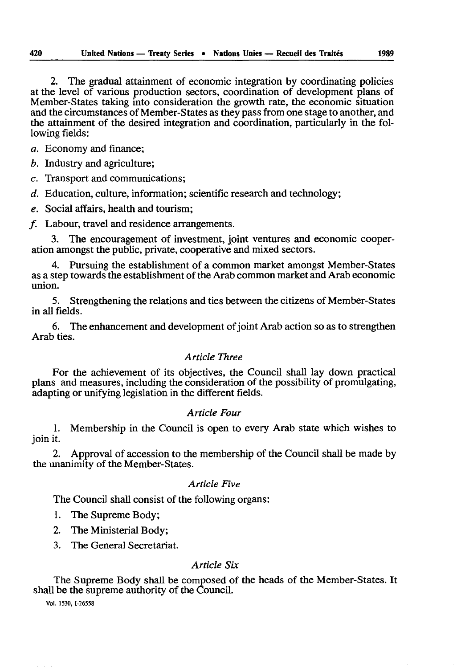2. The gradual attainment of economic integration by coordinating policies at the level of various production sectors, coordination of development plans of Member-States taking into consideration the growth rate, the economic situation and the circumstances of Member-States as they pass from one stage to another, and the attainment of the desired integration and coordination, particularly in the fol lowing fields:

*a.* Economy and finance;

*b.* Industry and agriculture;

*c.* Transport and communications;

*d.* Education, culture, information; scientific research and technology;

*e.* Social affairs, health and tourism;

/. Labour, travel and residence arrangements.

3. The encouragement of investment, joint ventures and economic cooper ation amongst the public, private, cooperative and mixed sectors.

4. Pursuing the establishment of a common market amongst Member-States as a step towards the establishment of the Arab common market and Arab economic union.

5. Strengthening the relations and ties between the citizens of Member-States in all fields.

6. The enhancement and development of joint Arab action so as to strengthen Arab ties.

# *Article Three*

For the achievement of its objectives, the Council shall lay down practical plans and measures, including the consideration of the possibility of promulgating, adapting or unifying legislation in the different fields.

### *Article Four*

1. Membership in the Council is open to every Arab state which wishes to join it.

2. Approval of accession to the membership of the Council shall be made by the unanimity of the Member-States.

#### *Article Five*

The Council shall consist of the following organs:

- 1. The Supreme Body;
- 2. The Ministerial Body;
- 3. The General Secretariat.

# *Article Six*

The Supreme Body shall be composed of the heads of the Member-States. It shall be the supreme authority of the Council.

Vol. 1530, 1-26558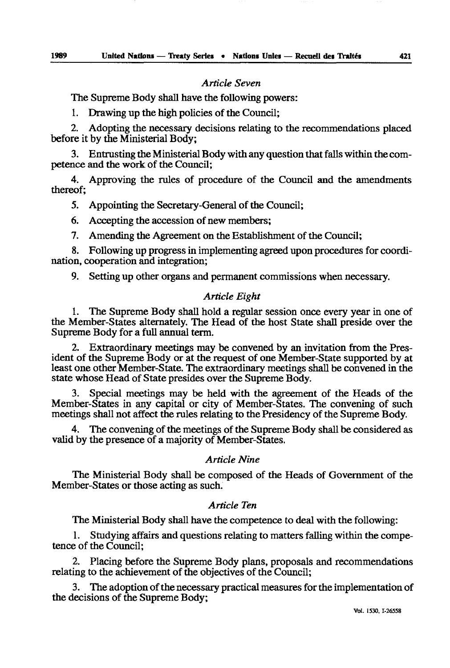# *Article Seven*

The Supreme Body shall have the following powers:

1. Drawing up the high policies of the Council;

2. Adopting the necessary decisions relating to the recommendations placed before it by the Ministerial Body;

3. Entrusting the Ministerial Body with any question that falls within the com petence and the work of the Council;

4. Approving the rules of procedure of the Council and the amendments thereof;

5. Appointing the Secretary-General of the Council;

6. Accepting the accession of new members;

7. Amending the Agreement on the Establishment of the Council;

8. Following up progress in implementing agreed upon procedures for coordi nation, cooperation and integration;

9. Setting up other organs and permanent commissions when necessary.

# *Article Eight*

1. The Supreme Body shall hold a regular session once every year in one of the Member-States alternately. The Head of the host State shall preside over the Supreme Body for a full annual term.

2. Extraordinary meetings may be convened by an invitation from the Pres ident of the Supreme Body or at the request of one Member-State supported by at least one other Member-State. The extraordinary meetings shall be convened in the state whose Head of State presides over the Supreme Body.

3. Special meetings may be held with the agreement of the Heads of the Member-States in any capital or city of Member-States. The convening of such meetings shall not affect the rules relating to the Presidency of the Supreme Body.

4. The convening of the meetings of the Supreme Body shall be considered as valid by the presence of a majority of Member-States.

# *Article Nine*

The Ministerial Body shall be composed of the Heads of Government of the Member-States or those acting as such.

# *Article Ten*

The Ministerial Body shall have the competence to deal with the following:

1. Studying affairs and questions relating to matters falling within the compe tence of the Council;

2. Placing before the Supreme Body plans, proposals and recommendations relating to the achievement of the objectives of the Council;

3. The adoption of the necessary practical measures for the implementation of the decisions of the Supreme Body;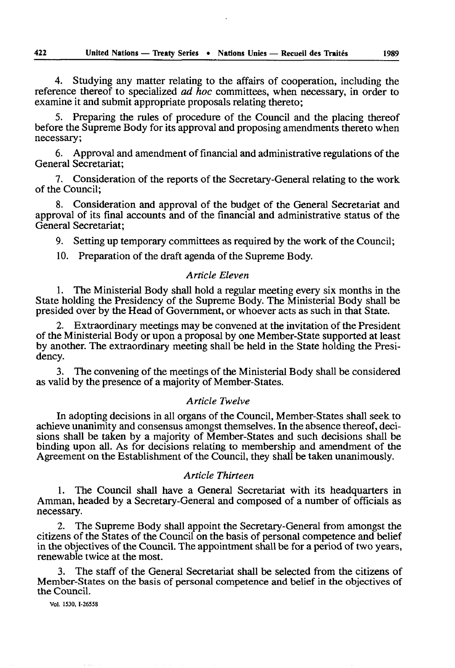4. Studying any matter relating to the affairs of cooperation, including the reference thereof to specialized *ad hoc* committees, when necessary, in order to examine it and submit appropriate proposals relating thereto;

5. Preparing the rules of procedure of the Council and the placing thereof before the Supreme Body for its approval and proposing amendments thereto when necessary;

6. Approval and amendment of financial and administrative regulations of the General Secretariat;

7. Consideration of the reports of the Secretary-General relating to the work of the Council;

8. Consideration and approval of the budget of the General Secretariat and approval of its final accounts and of the financial and administrative status of the General Secretariat;

9. Setting up temporary committees as required by the work of the Council;

10. Preparation of the draft agenda of the Supreme Body.

## *Article Eleven*

1. The Ministerial Body shall hold a regular meeting every six months in the State holding the Presidency of the Supreme Body. The Ministerial Body shall be presided over by the Head of Government, or whoever acts as such in that State.

2. Extraordinary meetings may be convened at the invitation of the President of the Ministerial Body or upon a proposal by one Member-State supported at least by another. The extraordinary meeting shall be held in the State holding the Presi dency.

3. The convening of the meetings of the Ministerial Body shall be considered as valid by the presence of a majority of Member-States.

### *Article Twelve*

In adopting decisions in all organs of the Council, Member-States shall seek to achieve unanimity and consensus amongst themselves. In the absence thereof, deci sions shall be taken by a majority of Member-States and such decisions shall be binding upon all. As for decisions relating to membership and amendment of the Agreement on the Establishment of the Council, they shall be taken unanimously.

# *Article Thirteen*

1. The Council shall have a General Secretariat with its headquarters in Amman, headed by a Secretary-General and composed of a number of officials as necessary.

2. The Supreme Body shall appoint the Secretary-General from amongst the citizens of the States of the Council on the basis of personal competence and belief in the objectives of the Council. The appointment shall be for a period of two years, renewable twice at the most.

3. The staff of the General Secretariat shall be selected from the citizens of Member-States on the basis of personal competence and belief in the objectives of the Council.

**Vol. 1530, 1-26558**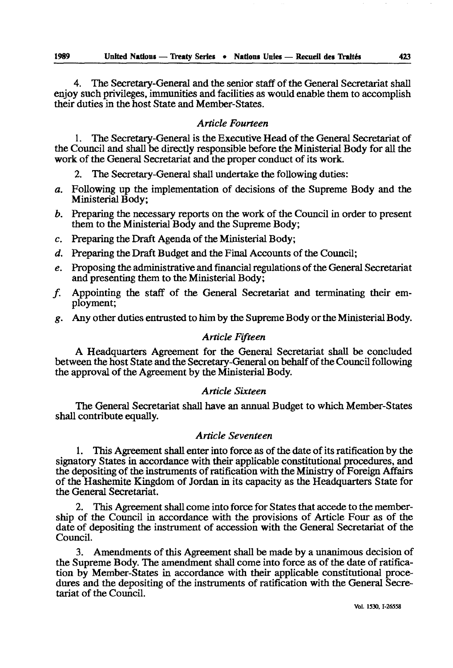4. The Secretary-General and the senior staff of the General Secretariat shall enjoy such privileges, immunities and facilities as would enable them to accomplish their duties in the host State and Member-States.

# *Article Fourteen*

1. The Secretary-General is the Executive Head of the General Secretariat of the Council and shall be directly responsible before the Ministerial Body for all the work of the General Secretariat and the proper conduct of its work.

2. The Secretary-General shall undertake the following duties:

- *a.* Following up the implementation of decisions of the Supreme Body and the Ministerial Body;
- *b.* Preparing the necessary reports on the work of the Council in order to present them to the Ministerial Body and the Supreme Body;
- *c.* Preparing the Draft Agenda of the Ministerial Body;
- *d.* Preparing the Draft Budget and the Final Accounts of the Council;
- *e.* Proposing the administrative and financial regulations of the General Secretariat and presenting them to the Ministerial Body;
- /. Appointing the staff of the General Secretariat and terminating their em ployment;
- *g.* Any other duties entrusted to him by the Supreme Body or the Ministerial Body.

# *Article Fifteen*

A Headquarters Agreement for the General Secretariat shall be concluded between the host State and the Secretary-General on behalf of the Council following the approval of the Agreement by the Ministerial Body.

### *Article Sixteen*

The General Secretariat shall have an annual Budget to which Member-States shall contribute equally.

# *Article Seventeen*

1. This Agreement shall enter into force as of the date of its ratification by the signatory States in accordance with their applicable constitutional procedures, and the depositing of the instruments of ratification with the Ministry of Foreign Affairs of the Hashemite Kingdom of Jordan in its capacity as the Headquarters State for the General Secretariat.

2. This Agreement shall come into force for States that accede to the member ship of the Council in accordance with the provisions of Article Four as of the date of depositing the instrument of accession with the General Secretariat of the Council.

3. Amendments of this Agreement shall be made by a unanimous decision of the Supreme Body. The amendment shall come into force as of the date of ratifica tion by Member-States in accordance with their applicable constitutional proce dures and the depositing of the instruments of ratification with the General Secre tariat of the Council.